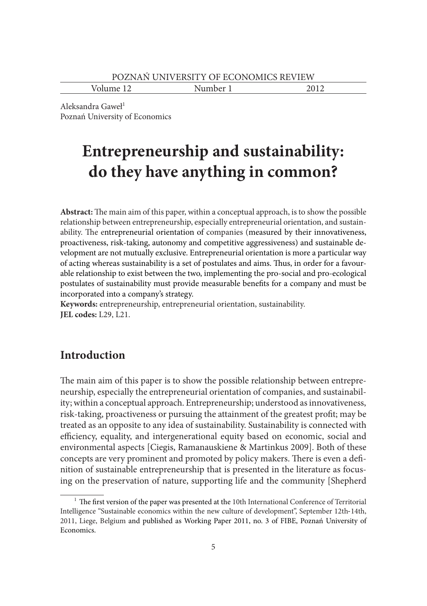Volume 12 Number 1 2012

Aleksandra Gaweł<sup>1</sup> Poznań University of Economics

# **Entrepreneurship and sustainability: do they have anything in common?**

**Abstract:** The main aim of this paper, within a conceptual approach, is to show the possible relationship between entrepreneurship, especially entrepreneurial orientation, and sustainability. The entrepreneurial orientation of companies (measured by their innovativeness, proactiveness, risk-taking, autonomy and competitive aggressiveness) and sustainable development are not mutually exclusive. Entrepreneurial orientation is more a particular way of acting whereas sustainability is a set of postulates and aims. Thus, in order for a favourable relationship to exist between the two, implementing the pro-social and pro-ecological postulates of sustainability must provide measurable benefits for a company and must be incorporated into a company's strategy.

**Keywords:** entrepreneurship, entrepreneurial orientation, sustainability. **JEL codes:** L29, L21.

## **Introduction**

The main aim of this paper is to show the possible relationship between entrepreneurship, especially the entrepreneurial orientation of companies, and sustainability; within a conceptual approach. Entrepreneurship; understood as innovativeness, risk-taking, proactiveness or pursuing the attainment of the greatest profit; may be treated as an opposite to any idea of sustainability. Sustainability is connected with efficiency, equality, and intergenerational equity based on economic, social and environmental aspects [Ciegis, Ramanauskiene & Martinkus 2009]. Both of these concepts are very prominent and promoted by policy makers. There is even a definition of sustainable entrepreneurship that is presented in the literature as focusing on the preservation of nature, supporting life and the community [Shepherd

<sup>&</sup>lt;sup>1</sup> The first version of the paper was presented at the 10th International Conference of Territorial Intelligence "Sustainable economics within the new culture of development", September 12th‐14th, 2011, Liege, Belgium and published as Working Paper 2011, no. 3 of FIBE, Poznań University of Economics.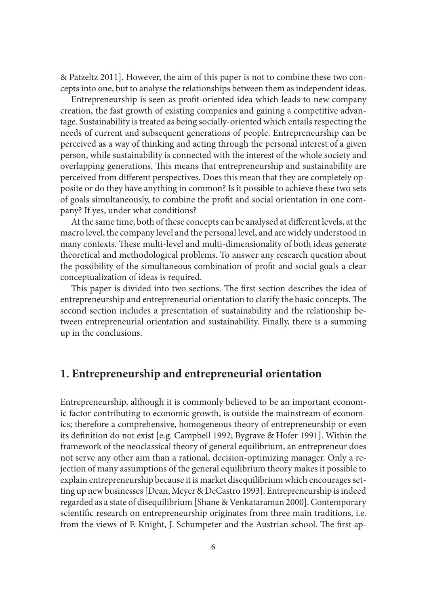& Patzeltz 2011]. However, the aim of this paper is not to combine these two concepts into one, but to analyse the relationships between them as independent ideas.

Entrepreneurship is seen as profit-oriented idea which leads to new company creation, the fast growth of existing companies and gaining a competitive advantage. Sustainability is treated as being socially-oriented which entails respecting the needs of current and subsequent generations of people. Entrepreneurship can be perceived as a way of thinking and acting through the personal interest of a given person, while sustainability is connected with the interest of the whole society and overlapping generations. This means that entrepreneurship and sustainability are perceived from different perspectives. Does this mean that they are completely opposite or do they have anything in common? Is it possible to achieve these two sets of goals simultaneously, to combine the profit and social orientation in one company? If yes, under what conditions?

At the same time, both of these concepts can be analysed at different levels, at the macro level, the company level and the personal level, and are widely understood in many contexts. These multi-level and multi-dimensionality of both ideas generate theoretical and methodological problems. To answer any research question about the possibility of the simultaneous combination of profit and social goals a clear conceptualization of ideas is required.

This paper is divided into two sections. The first section describes the idea of entrepreneurship and entrepreneurial orientation to clarify the basic concepts. The second section includes a presentation of sustainability and the relationship between entrepreneurial orientation and sustainability. Finally, there is a summing up in the conclusions.

### **1. Entrepreneurship and entrepreneurial orientation**

Entrepreneurship, although it is commonly believed to be an important economic factor contributing to economic growth, is outside the mainstream of economics; therefore a comprehensive, homogeneous theory of entrepreneurship or even its definition do not exist [e.g. Campbell 1992; Bygrave & Hofer 1991]. Within the framework of the neoclassical theory of general equilibrium, an entrepreneur does not serve any other aim than a rational, decision-optimizing manager. Only a rejection of many assumptions of the general equilibrium theory makes it possible to explain entrepreneurship because it is market disequilibrium which encourages setting up new businesses [Dean, Meyer & DeCastro 1993]. Entrepreneurship is indeed regarded as a state of disequilibrium [Shane & Venkataraman 2000]. Contemporary scientific research on entrepreneurship originates from three main traditions, i.e. from the views of F. Knight, J. Schumpeter and the Austrian school. The first ap-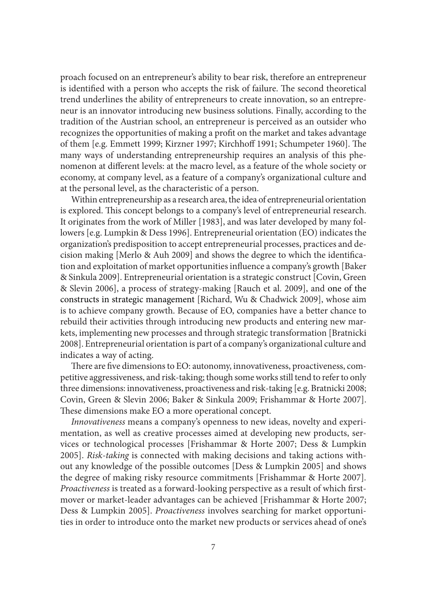proach focused on an entrepreneur's ability to bear risk, therefore an entrepreneur is identified with a person who accepts the risk of failure. The second theoretical trend underlines the ability of entrepreneurs to create innovation, so an entrepreneur is an innovator introducing new business solutions. Finally, according to the tradition of the Austrian school, an entrepreneur is perceived as an outsider who recognizes the opportunities of making a profit on the market and takes advantage of them [e.g. Emmett 1999; Kirzner 1997; Kirchhoff 1991; Schumpeter 1960]. The many ways of understanding entrepreneurship requires an analysis of this phenomenon at different levels: at the macro level, as a feature of the whole society or economy, at company level, as a feature of a company's organizational culture and at the personal level, as the characteristic of a person.

Within entrepreneurship as a research area, the idea of entrepreneurial orientation is explored. This concept belongs to a company's level of entrepreneurial research. It originates from the work of Miller [1983], and was later developed by many followers [e.g. Lumpkin & Dess 1996]. Entrepreneurial orientation (EO) indicates the organization's predisposition to accept entrepreneurial processes, practices and decision making [Merlo & Auh 2009] and shows the degree to which the identification and exploitation of market opportunities influence a company's growth [Baker & Sinkula 2009]. Entrepreneurial orientation is a strategic construct [Covin, Green & Slevin 2006], a process of strategy-making [Rauch et al. 2009], and one of the constructs in strategic management [Richard, Wu & Chadwick 2009], whose aim is to achieve company growth. Because of EO, companies have a better chance to rebuild their activities through introducing new products and entering new markets, implementing new processes and through strategic transformation [Bratnicki 2008]. Entrepreneurial orientation is part of a company's organizational culture and indicates a way of acting.

There are five dimensions to EO: autonomy, innovativeness, proactiveness, competitive aggressiveness, and risk-taking; though some works still tend to refer to only three dimensions: innovativeness, proactiveness and risk-taking [e.g. Bratnicki 2008; Covin, Green & Slevin 2006; Baker & Sinkula 2009; Frishammar & Horte 2007]. These dimensions make EO a more operational concept.

*Innovativeness* means a company's openness to new ideas, novelty and experimentation, as well as creative processes aimed at developing new products, services or technological processes [Frishammar & Horte 2007; Dess & Lumpkin 2005]. *Risk-taking* is connected with making decisions and taking actions without any knowledge of the possible outcomes [Dess & Lumpkin 2005] and shows the degree of making risky resource commitments [Frishammar & Horte 2007]*. Proactiveness* is treated as a forward-looking perspective as a result of which firstmover or market-leader advantages can be achieved [Frishammar & Horte 2007; Dess & Lumpkin 2005]. *Proactiveness* involves searching for market opportunities in order to introduce onto the market new products or services ahead of one's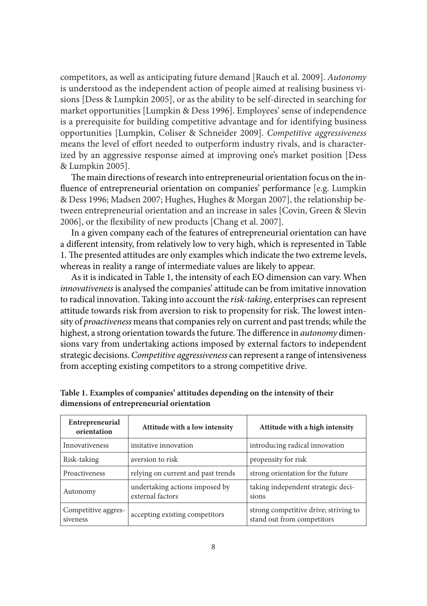competitors, as well as anticipating future demand [Rauch et al. 2009]. *Autonomy* is understood as the independent action of people aimed at realising business visions [Dess & Lumpkin 2005], or as the ability to be self-directed in searching for market opportunities [Lumpkin & Dess 1996]. Employees' sense of independence is a prerequisite for building competitive advantage and for identifying business opportunities [Lumpkin, Coliser & Schneider 2009]. *Competitive aggressiveness* means the level of effort needed to outperform industry rivals, and is characterized by an aggressive response aimed at improving one's market position [Dess & Lumpkin 2005].

The main directions of research into entrepreneurial orientation focus on the influence of entrepreneurial orientation on companies' performance [e.g. Lumpkin & Dess 1996; Madsen 2007; Hughes, Hughes & Morgan 2007], the relationship between entrepreneurial orientation and an increase in sales [Covin, Green & Slevin 2006], or the flexibility of new products [Chang et al. 2007].

In a given company each of the features of entrepreneurial orientation can have a different intensity, from relatively low to very high, which is represented in Table 1. The presented attitudes are only examples which indicate the two extreme levels, whereas in reality a range of intermediate values are likely to appear.

As it is indicated in Table 1, the intensity of each EO dimension can vary. When *innovativeness* is analysed the companies' attitude can be from imitative innovation to radical innovation. Taking into account the *risk-taking*, enterprises can represent attitude towards risk from aversion to risk to propensity for risk. The lowest intensity of *proactiveness* means that companies rely on current and past trends; while the highest, a strong orientation towards the future. The difference in *autonomy* dimensions vary from undertaking actions imposed by external factors to independent strategic decisions. *Competitive aggressiveness* can represent a range of intensiveness from accepting existing competitors to a strong competitive drive.

| Entrepreneurial<br>orientation  | Attitude with a low intensity                      | Attitude with a high intensity                                      |  |  |
|---------------------------------|----------------------------------------------------|---------------------------------------------------------------------|--|--|
| <b>Innovativeness</b>           | imitative innovation                               | introducing radical innovation                                      |  |  |
| Risk-taking                     | aversion to risk                                   | propensity for risk                                                 |  |  |
| Proactiveness                   | relying on current and past trends                 | strong orientation for the future                                   |  |  |
| Autonomy                        | undertaking actions imposed by<br>external factors | taking independent strategic deci-<br>sions                         |  |  |
| Competitive aggres-<br>siveness | accepting existing competitors                     | strong competitive drive; striving to<br>stand out from competitors |  |  |

**Table 1. Examples of companies' attitudes depending on the intensity of their dimensions of entrepreneurial orientation**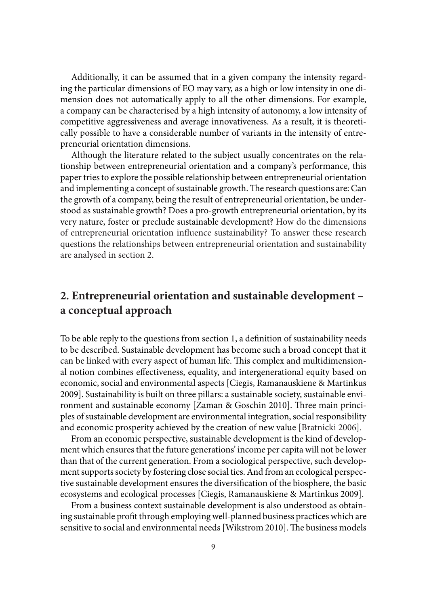Additionally, it can be assumed that in a given company the intensity regarding the particular dimensions of EO may vary, as a high or low intensity in one dimension does not automatically apply to all the other dimensions. For example, a company can be characterised by a high intensity of autonomy, a low intensity of competitive aggressiveness and average innovativeness. As a result, it is theoretically possible to have a considerable number of variants in the intensity of entrepreneurial orientation dimensions.

Although the literature related to the subject usually concentrates on the relationship between entrepreneurial orientation and a company's performance, this paper tries to explore the possible relationship between entrepreneurial orientation and implementing a concept of sustainable growth. The research questions are: Can the growth of a company, being the result of entrepreneurial orientation, be understood as sustainable growth? Does a pro-growth entrepreneurial orientation, by its very nature, foster or preclude sustainable development? How do the dimensions of entrepreneurial orientation influence sustainability? To answer these research questions the relationships between entrepreneurial orientation and sustainability are analysed in section 2.

# **2. Entrepreneurial orientation and sustainable development – a conceptual approach**

To be able reply to the questions from section 1, a definition of sustainability needs to be described. Sustainable development has become such a broad concept that it can be linked with every aspect of human life. This complex and multidimensional notion combines effectiveness, equality, and intergenerational equity based on economic, social and environmental aspects [Ciegis, Ramanauskiene & Martinkus 2009]. Sustainability is built on three pillars: a sustainable society, sustainable environment and sustainable economy [Zaman & Goschin 2010]. Three main principles of sustainable development are environmental integration, social responsibility and economic prosperity achieved by the creation of new value [Bratnicki 2006].

From an economic perspective, sustainable development is the kind of development which ensures that the future generations' income per capita will not be lower than that of the current generation. From a sociological perspective, such development supports society by fostering close social ties. And from an ecological perspective sustainable development ensures the diversification of the biosphere, the basic ecosystems and ecological processes [Ciegis, Ramanauskiene & Martinkus 2009].

From a business context sustainable development is also understood as obtaining sustainable profit through employing well-planned business practices which are sensitive to social and environmental needs [Wikstrom 2010]. The business models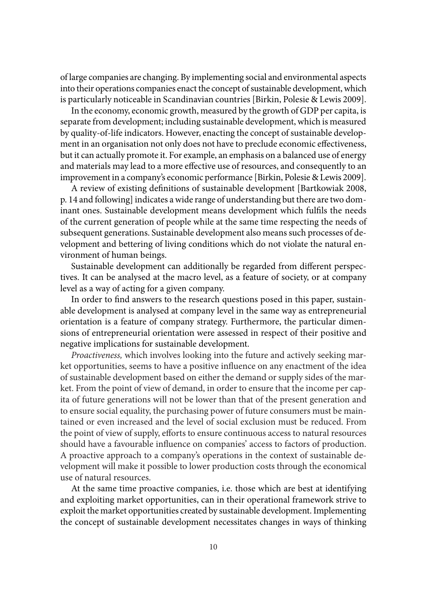of large companies are changing. By implementing social and environmental aspects into their operations companies enact the concept of sustainable development, which is particularly noticeable in Scandinavian countries [Birkin, Polesie & Lewis 2009].

In the economy, economic growth, measured by the growth of GDP per capita, is separate from development; including sustainable development, which is measured by quality-of-life indicators. However, enacting the concept of sustainable development in an organisation not only does not have to preclude economic effectiveness, but it can actually promote it. For example, an emphasis on a balanced use of energy and materials may lead to a more effective use of resources, and consequently to an improvement in a company's economic performance [Birkin, Polesie & Lewis 2009].

A review of existing definitions of sustainable development [Bartkowiak 2008, p. 14 and following] indicates a wide range of understanding but there are two dominant ones. Sustainable development means development which fulfils the needs of the current generation of people while at the same time respecting the needs of subsequent generations. Sustainable development also means such processes of development and bettering of living conditions which do not violate the natural environment of human beings.

Sustainable development can additionally be regarded from different perspectives. It can be analysed at the macro level, as a feature of society, or at company level as a way of acting for a given company.

In order to find answers to the research questions posed in this paper, sustainable development is analysed at company level in the same way as entrepreneurial orientation is a feature of company strategy. Furthermore, the particular dimensions of entrepreneurial orientation were assessed in respect of their positive and negative implications for sustainable development.

*Proactiveness,* which involves looking into the future and actively seeking market opportunities, seems to have a positive influence on any enactment of the idea of sustainable development based on either the demand or supply sides of the market. From the point of view of demand, in order to ensure that the income per capita of future generations will not be lower than that of the present generation and to ensure social equality, the purchasing power of future consumers must be maintained or even increased and the level of social exclusion must be reduced. From the point of view of supply, efforts to ensure continuous access to natural resources should have a favourable influence on companies' access to factors of production. A proactive approach to a company's operations in the context of sustainable development will make it possible to lower production costs through the economical use of natural resources.

At the same time proactive companies, i.e. those which are best at identifying and exploiting market opportunities, can in their operational framework strive to exploit the market opportunities created by sustainable development. Implementing the concept of sustainable development necessitates changes in ways of thinking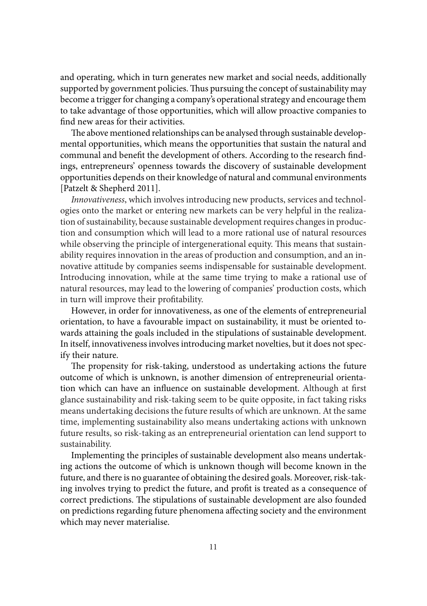and operating, which in turn generates new market and social needs, additionally supported by government policies. Thus pursuing the concept of sustainability may become a trigger for changing a company's operational strategy and encourage them to take advantage of those opportunities, which will allow proactive companies to find new areas for their activities.

The above mentioned relationships can be analysed through sustainable developmental opportunities, which means the opportunities that sustain the natural and communal and benefit the development of others. According to the research findings, entrepreneurs' openness towards the discovery of sustainable development opportunities depends on their knowledge of natural and communal environments [Patzelt & Shepherd 2011].

*Innovativeness*, which involves introducing new products, services and technologies onto the market or entering new markets can be very helpful in the realization of sustainability, because sustainable development requires changes in production and consumption which will lead to a more rational use of natural resources while observing the principle of intergenerational equity. This means that sustainability requires innovation in the areas of production and consumption, and an innovative attitude by companies seems indispensable for sustainable development. Introducing innovation, while at the same time trying to make a rational use of natural resources, may lead to the lowering of companies' production costs, which in turn will improve their profitability.

However, in order for innovativeness, as one of the elements of entrepreneurial orientation, to have a favourable impact on sustainability, it must be oriented towards attaining the goals included in the stipulations of sustainable development. In itself, innovativeness involves introducing market novelties, but it does not specify their nature.

The propensity for risk-taking, understood as undertaking actions the future outcome of which is unknown, is another dimension of entrepreneurial orientation which can have an influence on sustainable development. Although at first glance sustainability and risk-taking seem to be quite opposite, in fact taking risks means undertaking decisions the future results of which are unknown. At the same time, implementing sustainability also means undertaking actions with unknown future results, so risk-taking as an entrepreneurial orientation can lend support to sustainability.

Implementing the principles of sustainable development also means undertaking actions the outcome of which is unknown though will become known in the future, and there is no guarantee of obtaining the desired goals. Moreover, risk-taking involves trying to predict the future, and profit is treated as a consequence of correct predictions. The stipulations of sustainable development are also founded on predictions regarding future phenomena affecting society and the environment which may never materialise.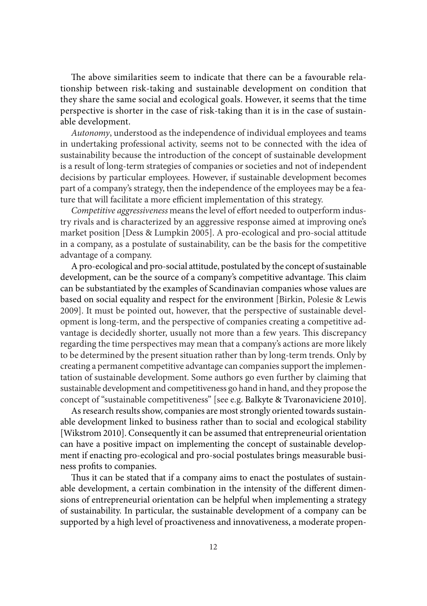The above similarities seem to indicate that there can be a favourable relationship between risk-taking and sustainable development on condition that they share the same social and ecological goals. However, it seems that the time perspective is shorter in the case of risk-taking than it is in the case of sustainable development.

*Autonomy*, understood as the independence of individual employees and teams in undertaking professional activity, seems not to be connected with the idea of sustainability because the introduction of the concept of sustainable development is a result of long-term strategies of companies or societies and not of independent decisions by particular employees. However, if sustainable development becomes part of a company's strategy, then the independence of the employees may be a feature that will facilitate a more efficient implementation of this strategy.

*Competitive aggressiveness* means the level of effort needed to outperform industry rivals and is characterized by an aggressive response aimed at improving one's market position [Dess & Lumpkin 2005]. A pro-ecological and pro-social attitude in a company, as a postulate of sustainability, can be the basis for the competitive advantage of a company.

A pro-ecological and pro-social attitude, postulated by the concept of sustainable development, can be the source of a company's competitive advantage. This claim can be substantiated by the examples of Scandinavian companies whose values are based on social equality and respect for the environment [Birkin, Polesie & Lewis 2009]. It must be pointed out, however, that the perspective of sustainable development is long-term, and the perspective of companies creating a competitive advantage is decidedly shorter, usually not more than a few years. This discrepancy regarding the time perspectives may mean that a company's actions are more likely to be determined by the present situation rather than by long-term trends. Only by creating a permanent competitive advantage can companies support the implementation of sustainable development. Some authors go even further by claiming that sustainable development and competitiveness go hand in hand, and they propose the concept of "sustainable competitiveness" [see e.g. Balkyte & Tvaronaviciene 2010].

As research results show, companies are most strongly oriented towards sustainable development linked to business rather than to social and ecological stability [Wikstrom 2010]. Consequently it can be assumed that entrepreneurial orientation can have a positive impact on implementing the concept of sustainable development if enacting pro-ecological and pro-social postulates brings measurable business profits to companies.

Thus it can be stated that if a company aims to enact the postulates of sustainable development, a certain combination in the intensity of the different dimensions of entrepreneurial orientation can be helpful when implementing a strategy of sustainability. In particular, the sustainable development of a company can be supported by a high level of proactiveness and innovativeness, a moderate propen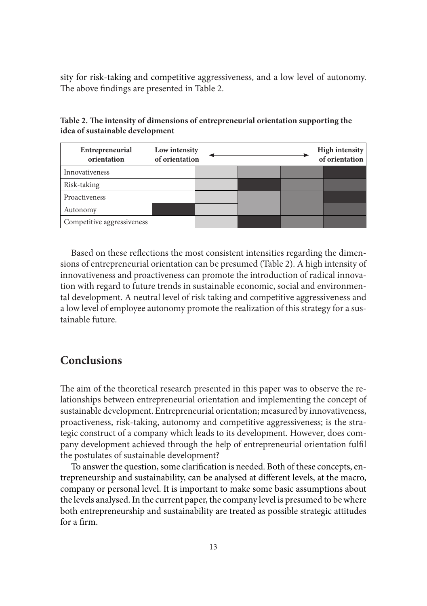sity for risk-taking and competitive aggressiveness, and a low level of autonomy. The above findings are presented in Table 2.

| Entrepreneurial<br>orientation | Low intensity<br>of orientation |  | <b>High intensity</b><br>of orientation |
|--------------------------------|---------------------------------|--|-----------------------------------------|
| Innovativeness                 |                                 |  |                                         |
| Risk-taking                    |                                 |  |                                         |
| Proactiveness                  |                                 |  |                                         |
| Autonomy                       |                                 |  |                                         |
| Competitive aggressiveness     |                                 |  |                                         |

**Table 2. The intensity of dimensions of entrepreneurial orientation supporting the idea of sustainable development**

Based on these reflections the most consistent intensities regarding the dimensions of entrepreneurial orientation can be presumed (Table 2). A high intensity of innovativeness and proactiveness can promote the introduction of radical innovation with regard to future trends in sustainable economic, social and environmental development. A neutral level of risk taking and competitive aggressiveness and a low level of employee autonomy promote the realization of this strategy for a sustainable future.

#### **Conclusions**

The aim of the theoretical research presented in this paper was to observe the relationships between entrepreneurial orientation and implementing the concept of sustainable development. Entrepreneurial orientation; measured by innovativeness, proactiveness, risk-taking, autonomy and competitive aggressiveness; is the strategic construct of a company which leads to its development. However, does company development achieved through the help of entrepreneurial orientation fulfil the postulates of sustainable development?

To answer the question, some clarification is needed. Both of these concepts, entrepreneurship and sustainability, can be analysed at different levels, at the macro, company or personal level. It is important to make some basic assumptions about the levels analysed. In the current paper, the company level is presumed to be where both entrepreneurship and sustainability are treated as possible strategic attitudes for a firm.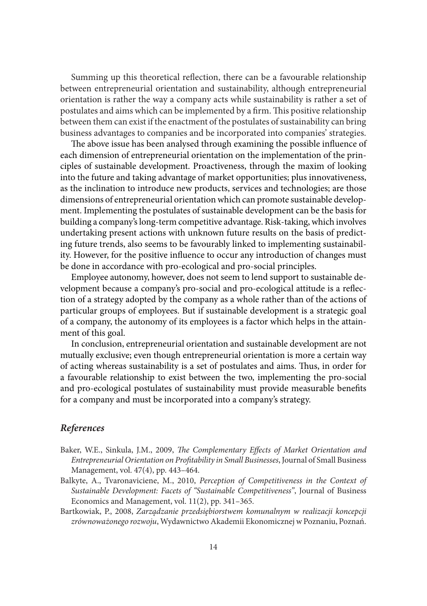Summing up this theoretical reflection, there can be a favourable relationship between entrepreneurial orientation and sustainability, although entrepreneurial orientation is rather the way a company acts while sustainability is rather a set of postulates and aims which can be implemented by a firm. This positive relationship between them can exist if the enactment of the postulates of sustainability can bring business advantages to companies and be incorporated into companies' strategies.

The above issue has been analysed through examining the possible influence of each dimension of entrepreneurial orientation on the implementation of the principles of sustainable development. Proactiveness, through the maxim of looking into the future and taking advantage of market opportunities; plus innovativeness, as the inclination to introduce new products, services and technologies; are those dimensions of entrepreneurial orientation which can promote sustainable development. Implementing the postulates of sustainable development can be the basis for building a company's long-term competitive advantage. Risk-taking, which involves undertaking present actions with unknown future results on the basis of predicting future trends, also seems to be favourably linked to implementing sustainability. However, for the positive influence to occur any introduction of changes must be done in accordance with pro-ecological and pro-social principles.

Employee autonomy, however, does not seem to lend support to sustainable development because a company's pro-social and pro-ecological attitude is a reflection of a strategy adopted by the company as a whole rather than of the actions of particular groups of employees. But if sustainable development is a strategic goal of a company, the autonomy of its employees is a factor which helps in the attainment of this goal.

In conclusion, entrepreneurial orientation and sustainable development are not mutually exclusive; even though entrepreneurial orientation is more a certain way of acting whereas sustainability is a set of postulates and aims. Thus, in order for a favourable relationship to exist between the two, implementing the pro-social and pro-ecological postulates of sustainability must provide measurable benefits for a company and must be incorporated into a company's strategy.

#### *References*

- Baker, W.E., Sinkula, J.M., 2009, *The Complementary Effects of Market Orientation and Entrepreneurial Orientation on Profitability in Small Businesses*, Journal of Small Business Management, vol. 47(4), pp. 443–464.
- Balkyte, A., Tvaronaviciene, M., 2010, *Perception of Competitiveness in the Context of Sustainable Development: Facets of "Sustainable Competitiveness"*, Journal of Business Economics and Management, vol. 11(2), pp. 341–365.
- Bartkowiak, P., 2008, *Zarządzanie przedsiębiorstwem komunalnym w realizacji koncepcji zrównoważonego rozwoju*, Wydawnictwo Akademii Ekonomicznej w Poznaniu, Poznań.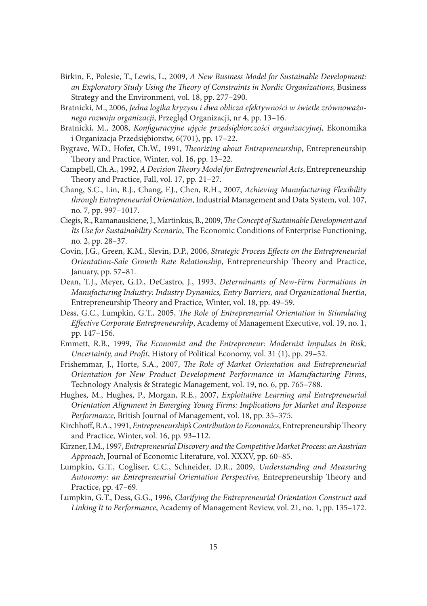- Birkin, F., Polesie, T., Lewis, L., 2009, *A New Business Model for Sustainable Development: an Exploratory Study Using the Theory of Constraints in Nordic Organizations*, Business Strategy and the Environment, vol. 18, pp. 277–290.
- Bratnicki, M., 2006, *Jedna logika kryzysu i dwa oblicza efektywności w świetle zrównoważonego rozwoju organizacji*, Przegląd Organizacji, nr 4, pp. 13–16.
- Bratnicki, M., 2008, *Konfiguracyjne ujęcie przedsiębiorczości organizacyjnej*, Ekonomika i Organizacja Przedsiębiorstw, 6(701), pp. 17–22.
- Bygrave, W.D., Hofer, Ch.W., 1991, *Theorizing about Entrepreneurship*, Entrepreneurship Theory and Practice, Winter, vol. 16, pp. 13–22.
- Campbell, Ch.A., 1992, *A Decision Theory Model for Entrepreneurial Acts*, Entrepreneurship Theory and Practice, Fall, vol. 17, pp. 21–27.
- Chang, S.C., Lin, R.J., Chang, F.J., Chen, R.H., 2007, *Achieving Manufacturing Flexibility through Entrepreneurial Orientation*, Industrial Management and Data System, vol. 107, no. 7, pp. 997–1017.
- Ciegis, R., Ramanauskiene, J., Martinkus, B., 2009, *The Concept of Sustainable Development and Its Use for Sustainability Scenario*, The Economic Conditions of Enterprise Functioning, no. 2, pp. 28–37.
- Covin, J.G., Green, K.M., Slevin, D.P., 2006, *Strategic Process Effects on the Entrepreneurial Orientation-Sale Growth Rate Relationship*, Entrepreneurship Theory and Practice, January, pp. 57–81.
- Dean, T.J., Meyer, G.D., DeCastro, J., 1993, *Determinants of New-Firm Formations in Manufacturing Industry: Industry Dynamics, Entry Barriers, and Organizational Inertia*, Entrepreneurship Theory and Practice, Winter, vol. 18, pp. 49–59.
- Dess, G.C., Lumpkin, G.T., 2005, *The Role of Entrepreneurial Orientation in Stimulating Effective Corporate Entrepreneurship*, Academy of Management Executive, vol. 19, no. 1, pp. 147–156.
- Emmett, R.B., 1999, *The Economist and the Entrepreneur: Modernist Impulses in Risk, Uncertainty, and Profit*, History of Political Economy, vol. 31 (1), pp. 29–52.
- Frishemmar, J., Horte, S.A., 2007, *The Role of Market Orientation and Entrepreneurial Orientation for New Product Development Performance in Manufacturing Firms*, Technology Analysis & Strategic Management, vol. 19, no. 6, pp. 765–788.
- Hughes, M., Hughes, P., Morgan, R.E., 2007, *Exploitative Learning and Entrepreneurial Orientation Alignment in Emerging Young Firms: Implications for Market and Response Performance*, British Journal of Management, vol. 18, pp. 35–375.
- Kirchhoff, B.A., 1991, *Entrepreneurship's Contribution to Economics*, Entrepreneurship Theory and Practice*,* Winter, vol. 16, pp. 93–112.
- Kirzner, I.M., 1997, *Entrepreneurial Discovery and the Competitive Market Process: an Austrian Approach*, Journal of Economic Literature, vol. XXXV, pp. 60–85.
- Lumpkin, G.T., Cogliser, C.C., Schneider, D.R., 2009, *Understanding and Measuring Autonomy: an Entrepreneurial Orientation Perspective*, Entrepreneurship Theory and Practice, pp. 47–69.
- Lumpkin, G.T., Dess, G.G., 1996, *Clarifying the Entrepreneurial Orientation Construct and Linking It to Performance*, Academy of Management Review, vol. 21, no. 1, pp. 135–172.